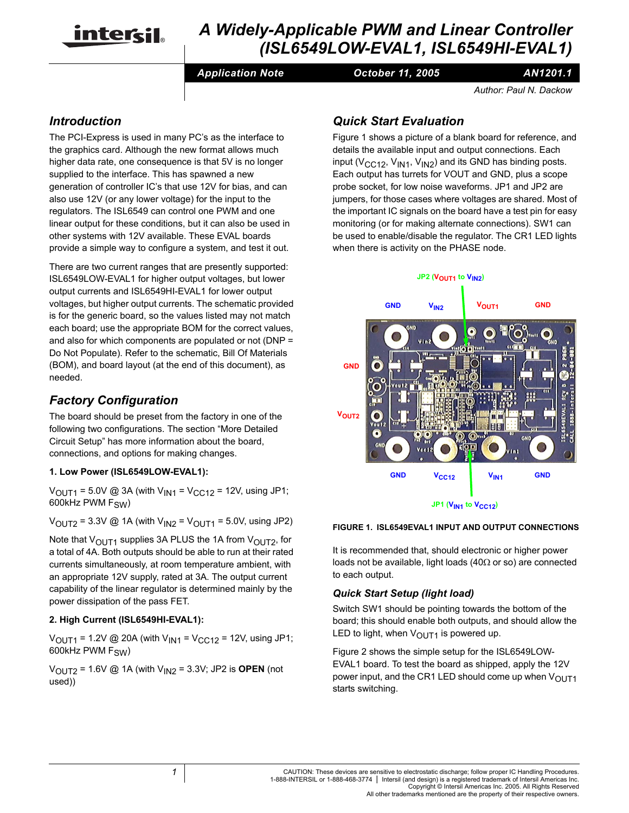

# *A Widely-Applicable PWM and Linear Controller (ISL6549LOW-EVAL1, ISL6549HI-EVAL1)*

*Application Note October 11, 2005*

*AN1201.1*

*Author: Paul N. Dackow*

# *Introduction*

The PCI-Express is used in many PC's as the interface to the graphics card. Although the new format allows much higher data rate, one consequence is that 5V is no longer supplied to the interface. This has spawned a new generation of controller IC's that use 12V for bias, and can also use 12V (or any lower voltage) for the input to the regulators. The ISL6549 can control one PWM and one linear output for these conditions, but it can also be used in other systems with 12V available. These EVAL boards provide a simple way to configure a system, and test it out.

There are two current ranges that are presently supported: ISL6549LOW-EVAL1 for higher output voltages, but lower output currents and ISL6549HI-EVAL1 for lower output voltages, but higher output currents. The schematic provided is for the generic board, so the values listed may not match each board; use the appropriate BOM for the correct values, and also for which components are populated or not (DNP = Do Not Populate). Refer to the schematic, Bill Of Materials (BOM), and board layout (at the end of this document), as needed.

## *Factory Configuration*

The board should be preset from the factory in one of the following two configurations. The section "More Detailed Circuit Setup" has more information about the board, connections, and options for making changes.

#### **1. Low Power (ISL6549LOW-EVAL1):**

 $V_{\text{OUT1}} = 5.0 \text{V}$  @ 3A (with  $V_{\text{IN1}} = V_{\text{CC12}} = 12 \text{V}$ , using JP1; 600kHz PWM F<sub>SW</sub>)

 $V_{\text{OUT2}} = 3.3V \text{ @ } 1A \text{ (with } V_{\text{IN2}} = V_{\text{OUT1}} = 5.0V, \text{ using JP2)}$ 

Note that  $V_{\text{OUT1}}$  supplies 3A PLUS the 1A from  $V_{\text{OUT2}}$ , for a total of 4A. Both outputs should be able to run at their rated currents simultaneously, at room temperature ambient, with an appropriate 12V supply, rated at 3A. The output current capability of the linear regulator is determined mainly by the power dissipation of the pass FET.

#### **2. High Current (ISL6549HI-EVAL1):**

 $V_{\text{OUT1}}$  = 1.2V @ 20A (with  $V_{\text{IN1}}$  =  $V_{\text{CC12}}$  = 12V, using JP1; 600kHz  $PWM F<sub>S</sub>(M)$ 

 $V_{\text{OUT2}}$  = 1.6V @ 1A (with  $V_{\text{IN2}}$  = 3.3V; JP2 is **OPEN** (not used))

# *Quick Start Evaluation*

Figure [1](#page-0-0) shows a picture of a blank board for reference, and details the available input and output connections. Each input ( $V<sub>CC12</sub>$ ,  $V<sub>IN1</sub>$ ,  $V<sub>IN2</sub>$ ) and its GND has binding posts. Each output has turrets for VOUT and GND, plus a scope probe socket, for low noise waveforms. JP1 and JP2 are jumpers, for those cases where voltages are shared. Most of the important IC signals on the board have a test pin for easy monitoring (or for making alternate connections). SW1 can be used to enable/disable the regulator. The CR1 LED lights when there is activity on the PHASE node.



#### <span id="page-0-0"></span>**FIGURE 1. ISL6549EVAL1 INPUT AND OUTPUT CONNECTIONS**

It is recommended that, should electronic or higher power loads not be available, light loads (40Ω or so) are connected to each output.

### *Quick Start Setup (light load)*

Switch SW1 should be pointing towards the bottom of the board; this should enable both outputs, and should allow the LED to light, when  $V_{\text{OUT1}}$  is powered up.

Figure [2](#page-1-0) shows the simple setup for the ISL6549LOW-EVAL1 board. To test the board as shipped, apply the 12V power input, and the CR1 LED should come up when  $V_{\text{OUT1}}$ starts switching.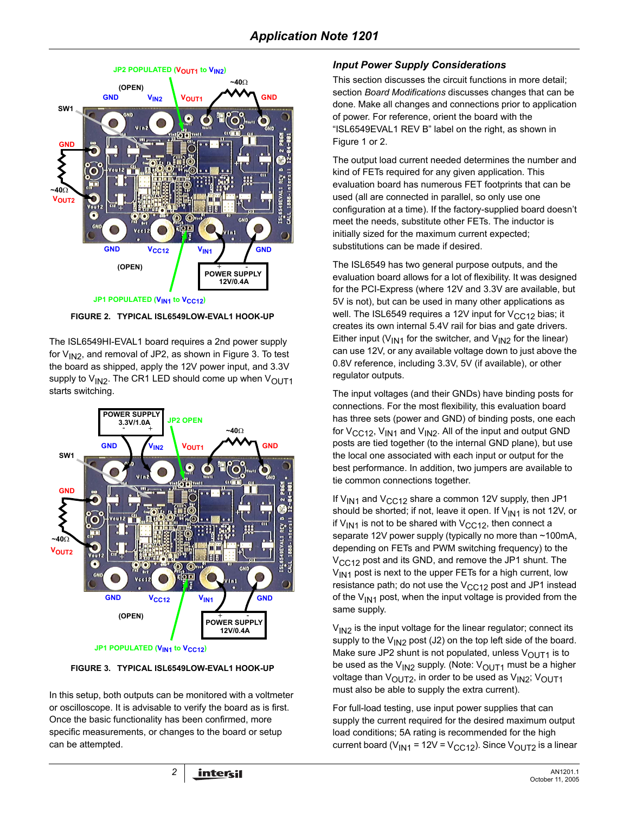

<span id="page-1-0"></span>**FIGURE 2. TYPICAL ISL6549LOW-EVAL1 HOOK-UP**

The ISL6549HI-EVAL1 board requires a 2nd power supply for  $V_{1N2}$ , and removal of JP2, as shown in Figure 3. To test the board as shipped, apply the 12V power input, and 3.3V supply to  $V_{1N2}$ . The CR1 LED should come up when  $V_{\text{OUT1}}$ starts switching.



**FIGURE 3. TYPICAL ISL6549LOW-EVAL1 HOOK-UP**

In this setup, both outputs can be monitored with a voltmeter or oscilloscope. It is advisable to verify the board as is first. Once the basic functionality has been confirmed, more specific measurements, or changes to the board or setup can be attempted.

## *Input Power Supply Considerations*

This section discusses the circuit functions in more detail; section *Board Modifications* discusses changes that can be done. Make all changes and connections prior to application of power. For reference, orient the board with the "ISL6549EVAL1 REV B" label on the right, as shown in Figure [1](#page-0-0) or [2.](#page-1-0)

The output load current needed determines the number and kind of FETs required for any given application. This evaluation board has numerous FET footprints that can be used (all are connected in parallel, so only use one configuration at a time). If the factory-supplied board doesn't meet the needs, substitute other FETs. The inductor is initially sized for the maximum current expected; substitutions can be made if desired.

The ISL6549 has two general purpose outputs, and the evaluation board allows for a lot of flexibility. It was designed for the PCI-Express (where 12V and 3.3V are available, but 5V is not), but can be used in many other applications as well. The ISL6549 requires a 12V input for  $V_{CC12}$  bias; it creates its own internal 5.4V rail for bias and gate drivers. Either input ( $V_{IN1}$  for the switcher, and  $V_{IN2}$  for the linear) can use 12V, or any available voltage down to just above the 0.8V reference, including 3.3V, 5V (if available), or other regulator outputs.

The input voltages (and their GNDs) have binding posts for connections. For the most flexibility, this evaluation board has three sets (power and GND) of binding posts, one each for  $V_{CC12}$ ,  $V_{IN1}$  and  $V_{IN2}$ . All of the input and output GND posts are tied together (to the internal GND plane), but use the local one associated with each input or output for the best performance. In addition, two jumpers are available to tie common connections together.

If  $V_{\text{IN1}}$  and  $V_{\text{CC12}}$  share a common 12V supply, then JP1 should be shorted; if not, leave it open. If  $V_{1N1}$  is not 12V, or if  $V_{1N1}$  is not to be shared with  $V_{CC12}$ , then connect a separate 12V power supply (typically no more than ~100mA, depending on FETs and PWM switching frequency) to the  $V_{CCA2}$  post and its GND, and remove the JP1 shunt. The  $V_{IN1}$  post is next to the upper FETs for a high current, low resistance path; do not use the  $V_{CC12}$  post and JP1 instead of the  $V_{1N1}$  post, when the input voltage is provided from the same supply.

 $V_{1N2}$  is the input voltage for the linear regulator; connect its supply to the  $V_{1N2}$  post (J2) on the top left side of the board. Make sure JP2 shunt is not populated, unless  $V_{\text{OUT1}}$  is to be used as the V<sub>IN2</sub> supply. (Note: V<sub>OUT1</sub> must be a higher voltage than V<sub>OUT2</sub>, in order to be used as V<sub>IN2</sub>; V<sub>OUT1</sub> must also be able to supply the extra current).

For full-load testing, use input power supplies that can supply the current required for the desired maximum output load conditions; 5A rating is recommended for the high current board ( $V_{IN1}$  = 12V =  $V_{CC12}$ ). Since  $V_{OUT2}$  is a linear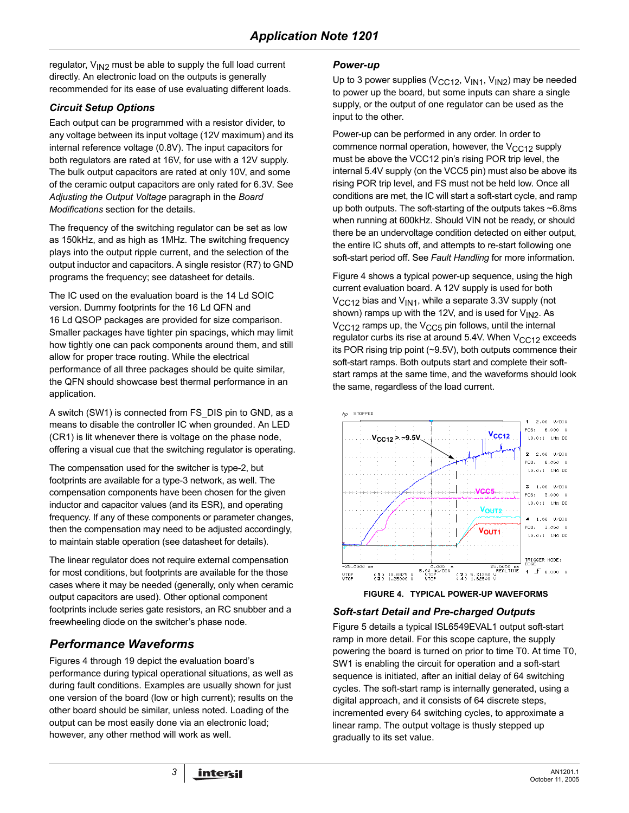regulator,  $V_{1N2}$  must be able to supply the full load current directly. An electronic load on the outputs is generally recommended for its ease of use evaluating different loads.

## *Circuit Setup Options*

Each output can be programmed with a resistor divider, to any voltage between its input voltage (12V maximum) and its internal reference voltage (0.8V). The input capacitors for both regulators are rated at 16V, for use with a 12V supply. The bulk output capacitors are rated at only 10V, and some of the ceramic output capacitors are only rated for 6.3V. See *Adjusting the Output Voltage* paragraph in the *Board Modifications* section for the details.

The frequency of the switching regulator can be set as low as 150kHz, and as high as 1MHz. The switching frequency plays into the output ripple current, and the selection of the output inductor and capacitors. A single resistor (R7) to GND programs the frequency; see datasheet for details.

The IC used on the evaluation board is the 14 Ld SOIC version. Dummy footprints for the 16 Ld QFN and 16 Ld QSOP packages are provided for size comparison. Smaller packages have tighter pin spacings, which may limit how tightly one can pack components around them, and still allow for proper trace routing. While the electrical performance of all three packages should be quite similar, the QFN should showcase best thermal performance in an application.

A switch (SW1) is connected from FS\_DIS pin to GND, as a means to disable the controller IC when grounded. An LED (CR1) is lit whenever there is voltage on the phase node, offering a visual cue that the switching regulator is operating.

The compensation used for the switcher is type-2, but footprints are available for a type-3 network, as well. The compensation components have been chosen for the given inductor and capacitor values (and its ESR), and operating frequency. If any of these components or parameter changes, then the compensation may need to be adjusted accordingly, to maintain stable operation (see datasheet for details).

The linear regulator does not require external compensation for most conditions, but footprints are available for the those cases where it may be needed (generally, only when ceramic output capacitors are used). Other optional component footprints include series gate resistors, an RC snubber and a freewheeling diode on the switcher's phase node.

# *Performance Waveforms*

Figures [4](#page-2-0) through [19](#page-6-0) depict the evaluation board's performance during typical operational situations, as well as during fault conditions. Examples are usually shown for just one version of the board (low or high current); results on the other board should be similar, unless noted. Loading of the output can be most easily done via an electronic load; however, any other method will work as well.

### *Power-up*

Up to 3 power supplies ( $V_{CC12}$ ,  $V_{IN1}$ ,  $V_{IN2}$ ) may be needed to power up the board, but some inputs can share a single supply, or the output of one regulator can be used as the input to the other.

Power-up can be performed in any order. In order to commence normal operation, however, the  $V<sub>CC12</sub>$  supply must be above the VCC12 pin's rising POR trip level, the internal 5.4V supply (on the VCC5 pin) must also be above its rising POR trip level, and FS must not be held low. Once all conditions are met, the IC will start a soft-start cycle, and ramp up both outputs. The soft-starting of the outputs takes ~6.8ms when running at 600kHz. Should VIN not be ready, or should there be an undervoltage condition detected on either output, the entire IC shuts off, and attempts to re-start following one soft-start period off. See *Fault Handling* for more information.

Figure [4](#page-2-0) shows a typical power-up sequence, using the high current evaluation board. A 12V supply is used for both  $V_{\text{CC}12}$  bias and  $V_{\text{IN}1}$ , while a separate 3.3V supply (not shown) ramps up with the 12V, and is used for  $V_{1N2}$ . As  $V<sub>CC12</sub>$  ramps up, the  $V<sub>CC5</sub>$  pin follows, until the internal regulator curbs its rise at around 5.4V. When  $V<sub>CC12</sub>$  exceeds its POR rising trip point (~9.5V), both outputs commence their soft-start ramps. Both outputs start and complete their softstart ramps at the same time, and the waveforms should look the same, regardless of the load current.



**FIGURE 4. TYPICAL POWER-UP WAVEFORMS**

### <span id="page-2-0"></span>*Soft-start Detail and Pre-charged Outputs*

Figure [5](#page-3-0) details a typical ISL6549EVAL1 output soft-start ramp in more detail. For this scope capture, the supply powering the board is turned on prior to time T0. At time T0, SW1 is enabling the circuit for operation and a soft-start sequence is initiated, after an initial delay of 64 switching cycles. The soft-start ramp is internally generated, using a digital approach, and it consists of 64 discrete steps, incremented every 64 switching cycles, to approximate a linear ramp. The output voltage is thusly stepped up gradually to its set value.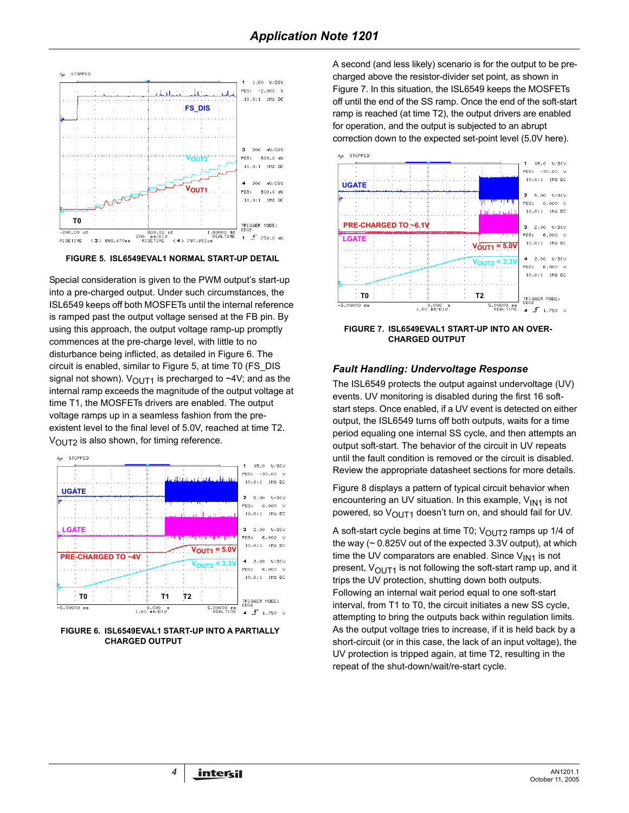

<span id="page-3-0"></span>**FIGURE 5. ISL6549EVAL1 NORMAL START-UP DETAIL**

Special consideration is given to the PWM output's start-up into a pre-charged output. Under such circumstances, the ISL6549 keeps off both MOSFETs until the internal reference is ramped past the output voltage sensed at the FB pin. By using this approach, the output voltage ramp-up promptly commences at the pre-charge level, with little to no disturbance being inflicted, as detailed in Figure 6. The circuit is enabled, similar to Figure [5](#page-3-0), at time T0 (FS\_DIS signal not shown).  $V_{\text{OUT1}}$  is precharged to ~4V; and as the internal ramp exceeds the magnitude of the output voltage at time T1, the MOSFETs drivers are enabled. The output voltage ramps up in a seamless fashion from the preexistent level to the final level of 5.0V, reached at time T2.  $V_{\text{OUT2}}$  is also shown, for timing reference.



**FIGURE 6. ISL6549EVAL1 START-UP INTO A PARTIALLY CHARGED OUTPUT**

A second (and less likely) scenario is for the output to be precharged above the resistor-divider set point, as shown in Figure 7. In this situation, the ISL6549 keeps the MOSFETs off until the end of the SS ramp. Once the end of the soft-start ramp is reached (at time T2), the output drivers are enabled for operation, and the output is subjected to an abrupt correction down to the expected set-point level (5.0V here).



**FIGURE 7. ISL6549EVAL1 START-UP INTO AN OVER-CHARGED OUTPUT**

### *Fault Handling: Undervoltage Response*

The ISL6549 protects the output against undervoltage (UV) events. UV monitoring is disabled during the first 16 softstart steps. Once enabled, if a UV event is detected on either output, the ISL6549 turns off both outputs, waits for a time period equaling one internal SS cycle, and then attempts an output soft-start. The behavior of the circuit in UV repeats until the fault condition is removed or the circuit is disabled. Review the appropriate datasheet sections for more details.

Figure [8](#page-4-0) displays a pattern of typical circuit behavior when encountering an UV situation. In this example,  $V_{1N1}$  is not powered, so  $V_{\text{OUT1}}$  doesn't turn on, and should fail for UV.

A soft-start cycle begins at time T0;  $V_{\text{OUT}}$  ramps up 1/4 of the way (~ 0.825V out of the expected 3.3V output), at which time the UV comparators are enabled. Since  $V_{1N1}$  is not present,  $V_{\text{OUT1}}$  is not following the soft-start ramp up, and it trips the UV protection, shutting down both outputs. Following an internal wait period equal to one soft-start interval, from T1 to T0, the circuit initiates a new SS cycle, attempting to bring the outputs back within regulation limits. As the output voltage tries to increase, if it is held back by a short-circuit (or in this case, the lack of an input voltage), the UV protection is tripped again, at time T2, resulting in the repeat of the shut-down/wait/re-start cycle.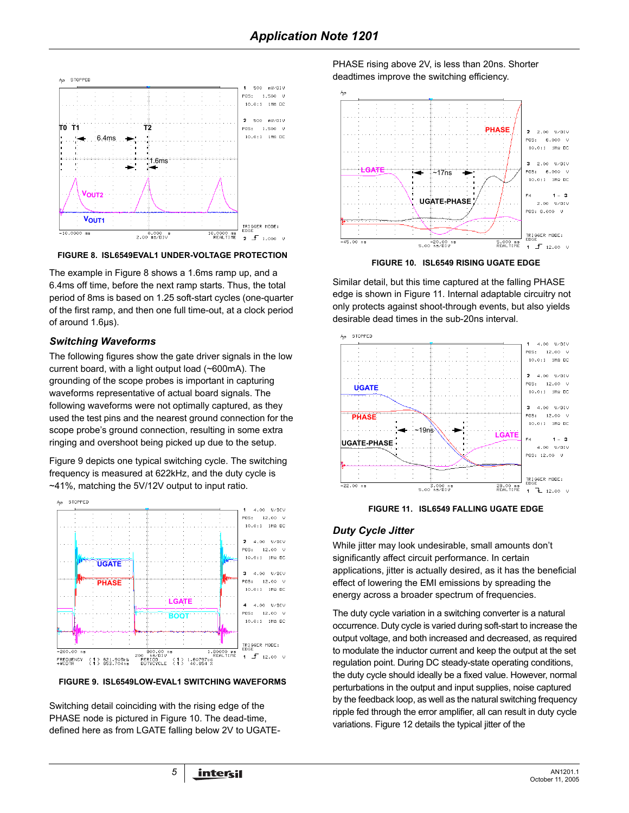

<span id="page-4-0"></span>**FIGURE 8. ISL6549EVAL1 UNDER-VOLTAGE PROTECTION**

The example in Figure 8 shows a 1.6ms ramp up, and a 6.4ms off time, before the next ramp starts. Thus, the total period of 8ms is based on 1.25 soft-start cycles (one-quarter of the first ramp, and then one full time-out, at a clock period of around 1.6µs).

#### *Switching Waveforms*

The following figures show the gate driver signals in the low current board, with a light output load (~600mA). The grounding of the scope probes is important in capturing waveforms representative of actual board signals. The following waveforms were not optimally captured, as they used the test pins and the nearest ground connection for the scope probe's ground connection, resulting in some extra ringing and overshoot being picked up due to the setup.

Figure [9](#page-4-1) depicts one typical switching cycle. The switching frequency is measured at 622kHz, and the duty cycle is ~41%, matching the 5V/12V output to input ratio.



<span id="page-4-1"></span>**FIGURE 9. ISL6549LOW-EVAL1 SWITCHING WAVEFORMS**

Switching detail coinciding with the rising edge of the PHASE node is pictured in Figure 10. The dead-time, defined here as from LGATE falling below 2V to UGATE- PHASE rising above 2V, is less than 20ns. Shorter deadtimes improve the switching efficiency.



**FIGURE 10. ISL6549 RISING UGATE EDGE**

Similar detail, but this time captured at the falling PHASE edge is shown in Figure 11. Internal adaptable circuitry not only protects against shoot-through events, but also yields desirable dead times in the sub-20ns interval.



**FIGURE 11. ISL6549 FALLING UGATE EDGE**

### *Duty Cycle Jitter*

While jitter may look undesirable, small amounts don't significantly affect circuit performance. In certain applications, jitter is actually desired, as it has the beneficial effect of lowering the EMI emissions by spreading the energy across a broader spectrum of frequencies.

The duty cycle variation in a switching converter is a natural occurrence. Duty cycle is varied during soft-start to increase the output voltage, and both increased and decreased, as required to modulate the inductor current and keep the output at the set regulation point. During DC steady-state operating conditions, the duty cycle should ideally be a fixed value. However, normal perturbations in the output and input supplies, noise captured by the feedback loop, as well as the natural switching frequency ripple fed through the error amplifier, all can result in duty cycle variations. Figure 12 details the typical jitter of the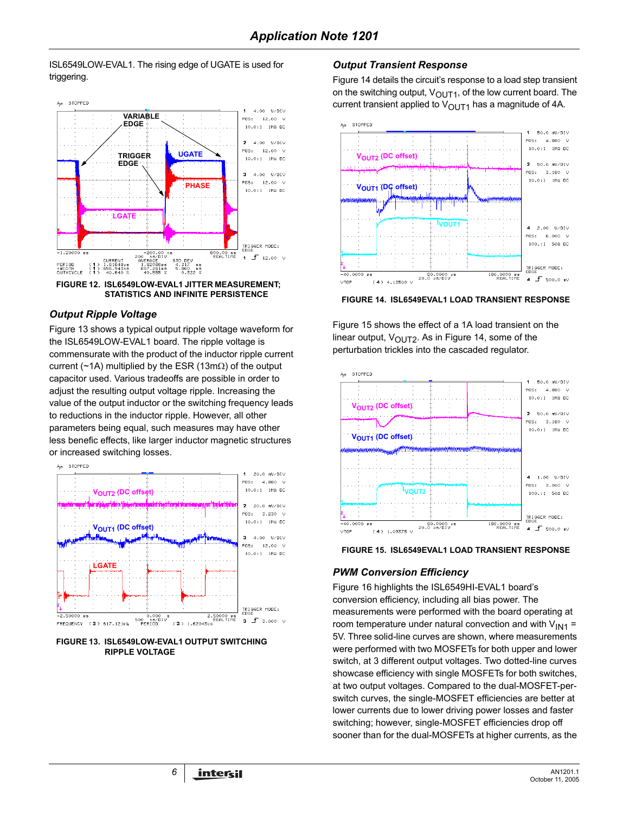#### ISL6549LOW-EVAL1. The rising edge of UGATE is used for triggering.





#### *Output Ripple Voltage*

Figure [13](#page-5-0) shows a typical output ripple voltage waveform for the ISL6549LOW-EVAL1 board. The ripple voltage is commensurate with the product of the inductor ripple current current (~1A) multiplied by the ESR (13mΩ) of the output capacitor used. Various tradeoffs are possible in order to adjust the resulting output voltage ripple. Increasing the value of the output inductor or the switching frequency leads to reductions in the inductor ripple. However, all other parameters being equal, such measures may have other less benefic effects, like larger inductor magnetic structures or increased switching losses.



<span id="page-5-0"></span>**FIGURE 13. ISL6549LOW-EVAL1 OUTPUT SWITCHING RIPPLE VOLTAGE**

### *Output Transient Response*

Figure [14](#page-5-1) details the circuit's response to a load step transient on the switching output,  $V_{\text{OUT1}}$ , of the low current board. The current transient applied to  $V_{\text{OUT1}}$  has a magnitude of 4A.



<span id="page-5-1"></span>**FIGURE 14. ISL6549EVAL1 LOAD TRANSIENT RESPONSE**

Figure [15](#page-5-2) shows the effect of a 1A load transient on the linear output,  $V_{\text{OUT2}}$ . As in Figure [14](#page-5-1), some of the perturbation trickles into the cascaded regulator.



<span id="page-5-2"></span>

## *PWM Conversion Efficiency*

Figure [16](#page-6-1) highlights the ISL6549HI-EVAL1 board's conversion efficiency, including all bias power. The measurements were performed with the board operating at room temperature under natural convection and with  $V_{IN1}$  = 5V. Three solid-line curves are shown, where measurements were performed with two MOSFETs for both upper and lower switch, at 3 different output voltages. Two dotted-line curves showcase efficiency with single MOSFETs for both switches, at two output voltages. Compared to the dual-MOSFET-perswitch curves, the single-MOSFET efficiencies are better at lower currents due to lower driving power losses and faster switching; however, single-MOSFET efficiencies drop off sooner than for the dual-MOSFETs at higher currents, as the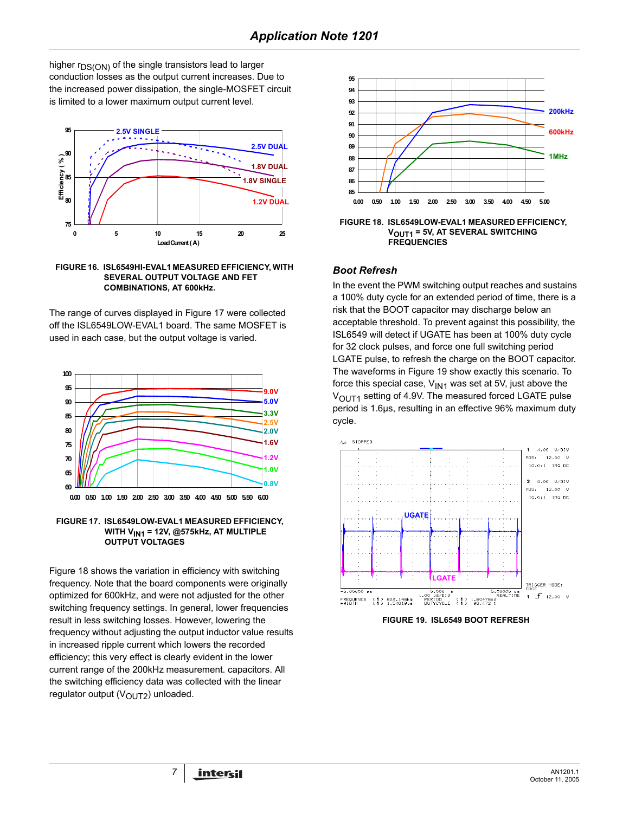higher  $r_{DS(ON)}$  of the single transistors lead to larger conduction losses as the output current increases. Due to the increased power dissipation, the single-MOSFET circuit is limited to a lower maximum output current level.



<span id="page-6-1"></span>

The range of curves displayed in Figure [17](#page-6-2) were collected off the ISL6549LOW-EVAL1 board. The same MOSFET is used in each case, but the output voltage is varied.



<span id="page-6-2"></span>

Figure 18 shows the variation in efficiency with switching frequency. Note that the board components were originally optimized for 600kHz, and were not adjusted for the other switching frequency settings. In general, lower frequencies result in less switching losses. However, lowering the frequency without adjusting the output inductor value results in increased ripple current which lowers the recorded efficiency; this very effect is clearly evident in the lower current range of the 200kHz measurement. capacitors. All the switching efficiency data was collected with the linear regulator output (VOUT2) unloaded.



**FIGURE 18. ISL6549LOW-EVAL1 MEASURED EFFICIENCY, VOUT1 = 5V, AT SEVERAL SWITCHING FREQUENCIES**

#### *Boot Refresh*

In the event the PWM switching output reaches and sustains a 100% duty cycle for an extended period of time, there is a risk that the BOOT capacitor may discharge below an acceptable threshold. To prevent against this possibility, the ISL6549 will detect if UGATE has been at 100% duty cycle for 32 clock pulses, and force one full switching period LGATE pulse, to refresh the charge on the BOOT capacitor. The waveforms in Figure [19](#page-6-0) show exactly this scenario. To force this special case,  $V_{1N1}$  was set at 5V, just above the V<sub>OUT1</sub> setting of 4.9V. The measured forced LGATE pulse period is 1.6µs, resulting in an effective 96% maximum duty cycle.



<span id="page-6-0"></span>**FIGURE 19. ISL6549 BOOT REFRESH**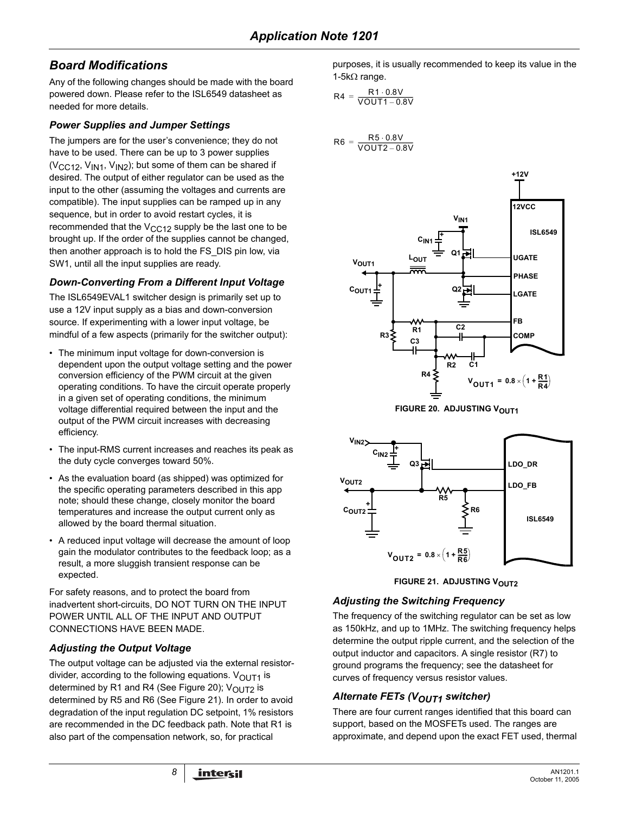# *Board Modifications*

Any of the following changes should be made with the board powered down. Please refer to the ISL6549 datasheet as needed for more details.

### *Power Supplies and Jumper Settings*

The jumpers are for the user's convenience; they do not have to be used. There can be up to 3 power supplies ( $V_{\text{CC}12}$ ,  $V_{\text{IN}1}$ ,  $V_{\text{IN}2}$ ); but some of them can be shared if desired. The output of either regulator can be used as the input to the other (assuming the voltages and currents are compatible). The input supplies can be ramped up in any sequence, but in order to avoid restart cycles, it is recommended that the  $V_{CC12}$  supply be the last one to be brought up. If the order of the supplies cannot be changed, then another approach is to hold the FS\_DIS pin low, via SW1, until all the input supplies are ready.

## *Down-Converting From a Different Input Voltage*

The ISL6549EVAL1 switcher design is primarily set up to use a 12V input supply as a bias and down-conversion source. If experimenting with a lower input voltage, be mindful of a few aspects (primarily for the switcher output):

- The minimum input voltage for down-conversion is dependent upon the output voltage setting and the power conversion efficiency of the PWM circuit at the given operating conditions. To have the circuit operate properly in a given set of operating conditions, the minimum voltage differential required between the input and the output of the PWM circuit increases with decreasing efficiency.
- The input-RMS current increases and reaches its peak as the duty cycle converges toward 50%.
- As the evaluation board (as shipped) was optimized for the specific operating parameters described in this app note; should these change, closely monitor the board temperatures and increase the output current only as allowed by the board thermal situation.
- A reduced input voltage will decrease the amount of loop gain the modulator contributes to the feedback loop; as a result, a more sluggish transient response can be expected.

For safety reasons, and to protect the board from inadvertent short-circuits, DO NOT TURN ON THE INPUT POWER UNTIL ALL OF THE INPUT AND OUTPUT CONNECTIONS HAVE BEEN MADE.

## *Adjusting the Output Voltage*

The output voltage can be adjusted via the external resistordivider, according to the following equations.  $V_{\text{OUT1}}$  is determined by R1 and R4 (See Figure [20](#page-7-0));  $V_{OUT2}$  is determined by R5 and R6 (See Figure [21](#page-7-1)). In order to avoid degradation of the input regulation DC setpoint, 1% resistors are recommended in the DC feedback path. Note that R1 is also part of the compensation network, so, for practical

purposes, it is usually recommended to keep its value in the 1-5kΩ range.

$$
R4 = \frac{R1 \cdot 0.8V}{VOUT1 - 0.8V}
$$

$$
R6 = \frac{R5 \cdot 0.8V}{VOUT2 - 0.8V}
$$





<span id="page-7-0"></span>



## <span id="page-7-1"></span>*Adjusting the Switching Frequency*

The frequency of the switching regulator can be set as low as 150kHz, and up to 1MHz. The switching frequency helps determine the output ripple current, and the selection of the output inductor and capacitors. A single resistor (R7) to ground programs the frequency; see the datasheet for curves of frequency versus resistor values.

## **Alternate FETs (VOUT1 switcher)**

There are four current ranges identified that this board can support, based on the MOSFETs used. The ranges are approximate, and depend upon the exact FET used, thermal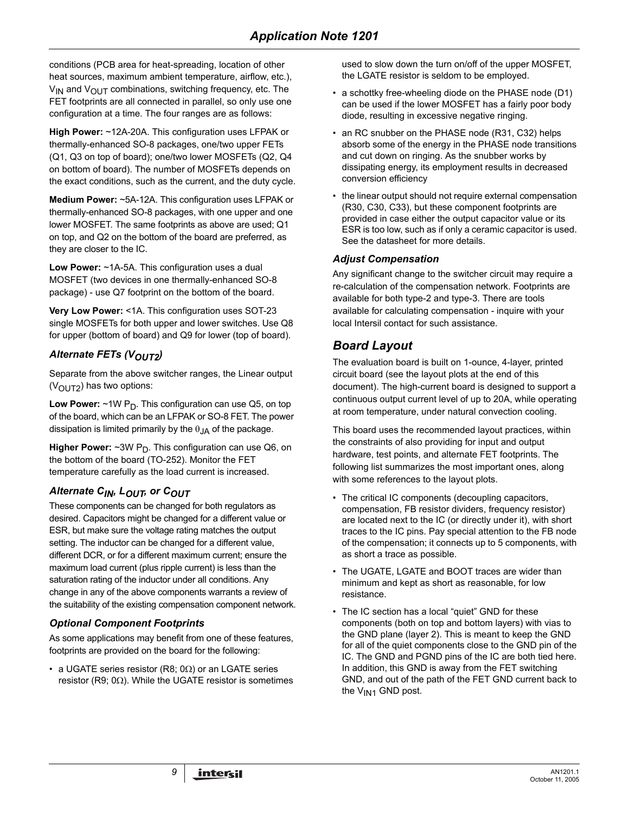conditions (PCB area for heat-spreading, location of other heat sources, maximum ambient temperature, airflow, etc.),  $V_{IN}$  and  $V_{OUIT}$  combinations, switching frequency, etc. The FET footprints are all connected in parallel, so only use one configuration at a time. The four ranges are as follows:

**High Power:** ~12A-20A. This configuration uses LFPAK or thermally-enhanced SO-8 packages, one/two upper FETs (Q1, Q3 on top of board); one/two lower MOSFETs (Q2, Q4 on bottom of board). The number of MOSFETs depends on the exact conditions, such as the current, and the duty cycle.

**Medium Power:** ~5A-12A. This configuration uses LFPAK or thermally-enhanced SO-8 packages, with one upper and one lower MOSFET. The same footprints as above are used; Q1 on top, and Q2 on the bottom of the board are preferred, as they are closer to the IC.

**Low Power:** ~1A-5A. This configuration uses a dual MOSFET (two devices in one thermally-enhanced SO-8 package) - use Q7 footprint on the bottom of the board.

**Very Low Power:** <1A. This configuration uses SOT-23 single MOSFETs for both upper and lower switches. Use Q8 for upper (bottom of board) and Q9 for lower (top of board).

## **Alternate FETs (VOUT2)**

Separate from the above switcher ranges, the Linear output  $(V<sub>O</sub>UT<sub>2</sub>)$  has two options:

**Low Power:** ~1W P<sub>D</sub>. This configuration can use Q5, on top of the board, which can be an LFPAK or SO-8 FET. The power dissipation is limited primarily by the  $\theta_{JA}$  of the package.

**Higher Power:**  $\sim$ 3W P<sub>D</sub>. This configuration can use Q6, on the bottom of the board (TO-252). Monitor the FET temperature carefully as the load current is increased.

## Alternate C<sub>IN</sub>, L<sub>OUT</sub>, or C<sub>OUT</sub>

These components can be changed for both regulators as desired. Capacitors might be changed for a different value or ESR, but make sure the voltage rating matches the output setting. The inductor can be changed for a different value, different DCR, or for a different maximum current; ensure the maximum load current (plus ripple current) is less than the saturation rating of the inductor under all conditions. Any change in any of the above components warrants a review of the suitability of the existing compensation component network.

## *Optional Component Footprints*

As some applications may benefit from one of these features, footprints are provided on the board for the following:

• a UGATE series resistor (R8; 0 $\Omega$ ) or an LGATE series resistor (R9;  $0\Omega$ ). While the UGATE resistor is sometimes

used to slow down the turn on/off of the upper MOSFET, the LGATE resistor is seldom to be employed.

- a schottky free-wheeling diode on the PHASE node (D1) can be used if the lower MOSFET has a fairly poor body diode, resulting in excessive negative ringing.
- an RC snubber on the PHASE node (R31, C32) helps absorb some of the energy in the PHASE node transitions and cut down on ringing. As the snubber works by dissipating energy, its employment results in decreased conversion efficiency
- the linear output should not require external compensation (R30, C30, C33), but these component footprints are provided in case either the output capacitor value or its ESR is too low, such as if only a ceramic capacitor is used. See the datasheet for more details.

### *Adjust Compensation*

Any significant change to the switcher circuit may require a re-calculation of the compensation network. Footprints are available for both type-2 and type-3. There are tools available for calculating compensation - inquire with your local Intersil contact for such assistance.

# *Board Layout*

The evaluation board is built on 1-ounce, 4-layer, printed circuit board (see the layout plots at the end of this document). The high-current board is designed to support a continuous output current level of up to 20A, while operating at room temperature, under natural convection cooling.

This board uses the recommended layout practices, within the constraints of also providing for input and output hardware, test points, and alternate FET footprints. The following list summarizes the most important ones, along with some references to the layout plots.

- The critical IC components (decoupling capacitors, compensation, FB resistor dividers, frequency resistor) are located next to the IC (or directly under it), with short traces to the IC pins. Pay special attention to the FB node of the compensation; it connects up to 5 components, with as short a trace as possible.
- The UGATE, LGATE and BOOT traces are wider than minimum and kept as short as reasonable, for low resistance.
- The IC section has a local "quiet" GND for these components (both on top and bottom layers) with vias to the GND plane (layer 2). This is meant to keep the GND for all of the quiet components close to the GND pin of the IC. The GND and PGND pins of the IC are both tied here. In addition, this GND is away from the FET switching GND, and out of the path of the FET GND current back to the  $V_{IN1}$  GND post.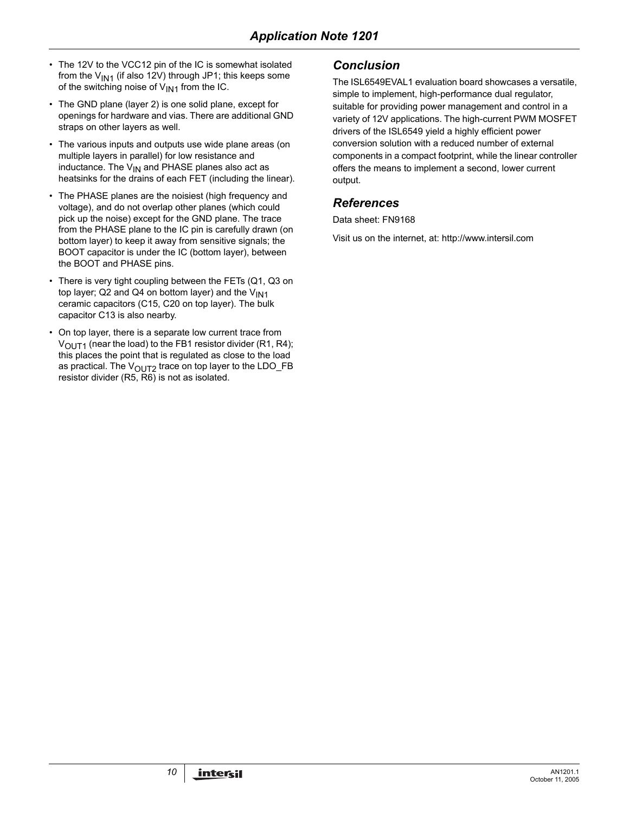- The 12V to the VCC12 pin of the IC is somewhat isolated from the  $V_{1N1}$  (if also 12V) through JP1; this keeps some of the switching noise of  $V_{IN1}$  from the IC.
- The GND plane (layer 2) is one solid plane, except for openings for hardware and vias. There are additional GND straps on other layers as well.
- The various inputs and outputs use wide plane areas (on multiple layers in parallel) for low resistance and inductance. The  $V_{IN}$  and PHASE planes also act as heatsinks for the drains of each FET (including the linear).
- The PHASE planes are the noisiest (high frequency and voltage), and do not overlap other planes (which could pick up the noise) except for the GND plane. The trace from the PHASE plane to the IC pin is carefully drawn (on bottom layer) to keep it away from sensitive signals; the BOOT capacitor is under the IC (bottom layer), between the BOOT and PHASE pins.
- There is very tight coupling between the FETs (Q1, Q3 on top layer; Q2 and Q4 on bottom layer) and the  $V_{1N1}$ ceramic capacitors (C15, C20 on top layer). The bulk capacitor C13 is also nearby.
- On top layer, there is a separate low current trace from  $V<sub>OUT1</sub>$  (near the load) to the FB1 resistor divider (R1, R4); this places the point that is regulated as close to the load as practical. The  $V_{\text{OUT2}}$  trace on top layer to the LDO\_FB resistor divider (R5, R6) is not as isolated.

# *Conclusion*

The ISL6549EVAL1 evaluation board showcases a versatile, simple to implement, high-performance dual regulator, suitable for providing power management and control in a variety of 12V applications. The high-current PWM MOSFET drivers of the ISL6549 yield a highly efficient power conversion solution with a reduced number of external components in a compact footprint, while the linear controller offers the means to implement a second, lower current output.

## *References*

Data sheet: FN9168

Visit us on the internet, at: http://www.intersil.com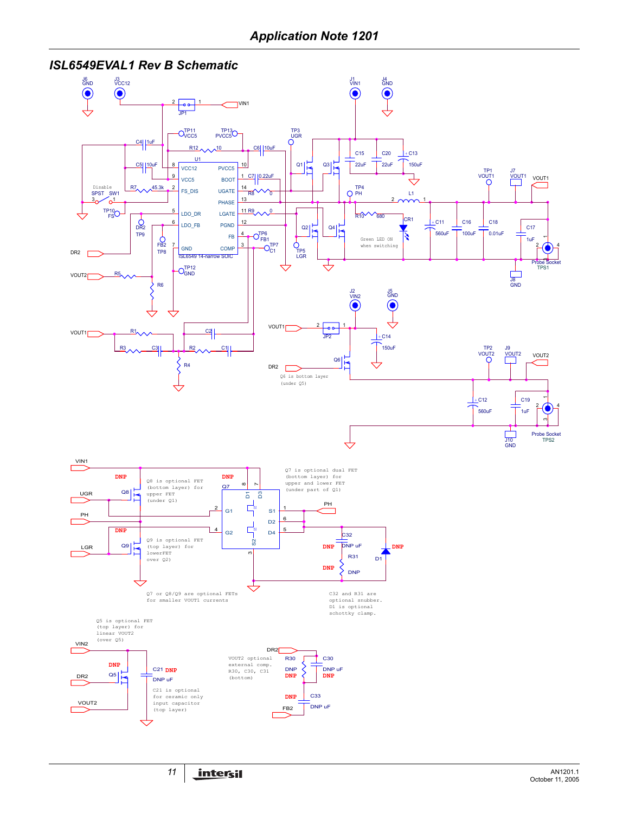## *ISL6549EVAL1 Rev B Schematic*

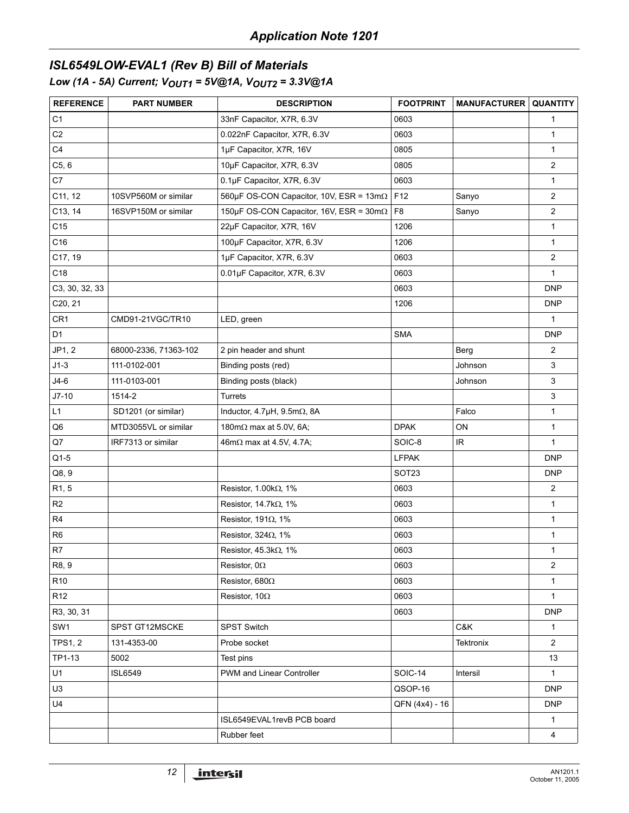# *ISL6549LOW-EVAL1 (Rev B) Bill of Materials Low (1A - 5A) Current; V<sub>OUT1</sub> = 5V@1A, V<sub>OUT2</sub> = 3.3V@1A*

| <b>REFERENCE</b> | <b>PART NUMBER</b>    | <b>DESCRIPTION</b>                                      | <b>FOOTPRINT</b> | <b>MANUFACTURER QUANTITY</b> |                |
|------------------|-----------------------|---------------------------------------------------------|------------------|------------------------------|----------------|
| C <sub>1</sub>   |                       | 33nF Capacitor, X7R, 6.3V                               | 0603             |                              | $\mathbf{1}$   |
| C <sub>2</sub>   |                       | 0.022nF Capacitor, X7R, 6.3V                            | 0603             |                              | $\mathbf{1}$   |
| C <sub>4</sub>   |                       | 1µF Capacitor, X7R, 16V                                 | 0805             |                              | $\mathbf{1}$   |
| C5, 6            |                       | 10µF Capacitor, X7R, 6.3V                               | 0805             |                              | 2              |
| C7               |                       | 0.1µF Capacitor, X7R, 6.3V                              | 0603             |                              | $\mathbf{1}$   |
| C11, 12          | 10SVP560M or similar  | 560µF OS-CON Capacitor, 10V, ESR = $13m\Omega$          | F12              | Sanyo                        | $\overline{c}$ |
| C13, 14          | 16SVP150M or similar  | 150µF OS-CON Capacitor, 16V, ESR = $30 \text{m}\Omega$  | F <sub>8</sub>   | Sanyo                        | 2              |
| C15              |                       | 22µF Capacitor, X7R, 16V                                | 1206             |                              | $\mathbf{1}$   |
| C16              |                       | 100µF Capacitor, X7R, 6.3V                              | 1206             |                              | $\mathbf{1}$   |
| C17, 19          |                       | 1µF Capacitor, X7R, 6.3V                                | 0603             |                              | $\overline{c}$ |
| C18              |                       | 0.01µF Capacitor, X7R, 6.3V                             | 0603             |                              | $\mathbf{1}$   |
| C3, 30, 32, 33   |                       |                                                         | 0603             |                              | <b>DNP</b>     |
| C20, 21          |                       |                                                         | 1206             |                              | <b>DNP</b>     |
| CR <sub>1</sub>  | CMD91-21VGC/TR10      | LED, green                                              |                  |                              | $\mathbf{1}$   |
| D <sub>1</sub>   |                       |                                                         | <b>SMA</b>       |                              | <b>DNP</b>     |
| JP1, 2           | 68000-2336, 71363-102 | 2 pin header and shunt                                  |                  | Berg                         | $\overline{2}$ |
| $J1-3$           | 111-0102-001          | Binding posts (red)                                     |                  | Johnson                      | 3              |
| $J4-6$           | 111-0103-001          | Binding posts (black)                                   |                  | Johnson                      | 3              |
| $J7-10$          | 1514-2                | Turrets                                                 |                  |                              | 3              |
| L1               | SD1201 (or similar)   | Inductor, $4.7\mu$ H, $9.5\text{m}\Omega$ , $8\text{A}$ |                  | Falco                        | $\mathbf{1}$   |
| Q <sub>6</sub>   | MTD3055VL or similar  | 180m $\Omega$ max at 5.0V, 6A;                          | <b>DPAK</b>      | ON                           | $\mathbf{1}$   |
| Q7               | IRF7313 or similar    | 46m $\Omega$ max at 4.5V, 4.7A;                         | SOIC-8           | IR                           | $\mathbf{1}$   |
| $Q1-5$           |                       |                                                         | <b>LFPAK</b>     |                              | <b>DNP</b>     |
| Q8, 9            |                       |                                                         | SOT23            |                              | <b>DNP</b>     |
| R1, 5            |                       | Resistor, $1.00k\Omega$ , 1%                            | 0603             |                              | $\overline{2}$ |
| R <sub>2</sub>   |                       | Resistor, $14.7k\Omega$ , $1\%$                         | 0603             |                              | $\mathbf{1}$   |
| R <sub>4</sub>   |                       | Resistor, 191 $\Omega$ , 1%                             | 0603             |                              | $\mathbf{1}$   |
| R <sub>6</sub>   |                       | Resistor, 324 $\Omega$ , 1%                             | 0603             |                              | 1              |
| R7               |                       | Resistor, $45.3k\Omega$ , 1%                            | 0603             |                              | $\mathbf{1}$   |
| R8, 9            |                       | Resistor, $0\Omega$                                     | 0603             |                              | $\overline{2}$ |
| R <sub>10</sub>  |                       | Resistor, 680 $\Omega$                                  | 0603             |                              | $\mathbf{1}$   |
| R <sub>12</sub>  |                       | Resistor, 10 $\Omega$                                   | 0603             |                              | $\mathbf{1}$   |
| R3, 30, 31       |                       |                                                         | 0603             |                              | <b>DNP</b>     |
| SW1              | SPST GT12MSCKE        | SPST Switch                                             |                  | C&K                          | $\mathbf{1}$   |
| <b>TPS1, 2</b>   | 131-4353-00           | Probe socket                                            |                  | Tektronix                    | $\overline{2}$ |
| TP1-13           | 5002                  | Test pins                                               |                  |                              | 13             |
| U1               | <b>ISL6549</b>        | PWM and Linear Controller                               | SOIC-14          | Intersil                     | $\mathbf{1}$   |
| U3               |                       |                                                         | QSOP-16          |                              | <b>DNP</b>     |
| U4               |                       |                                                         | QFN (4x4) - 16   |                              | <b>DNP</b>     |
|                  |                       | ISL6549EVAL1revB PCB board                              |                  |                              | $\mathbf{1}$   |
|                  |                       | Rubber feet                                             |                  |                              | 4              |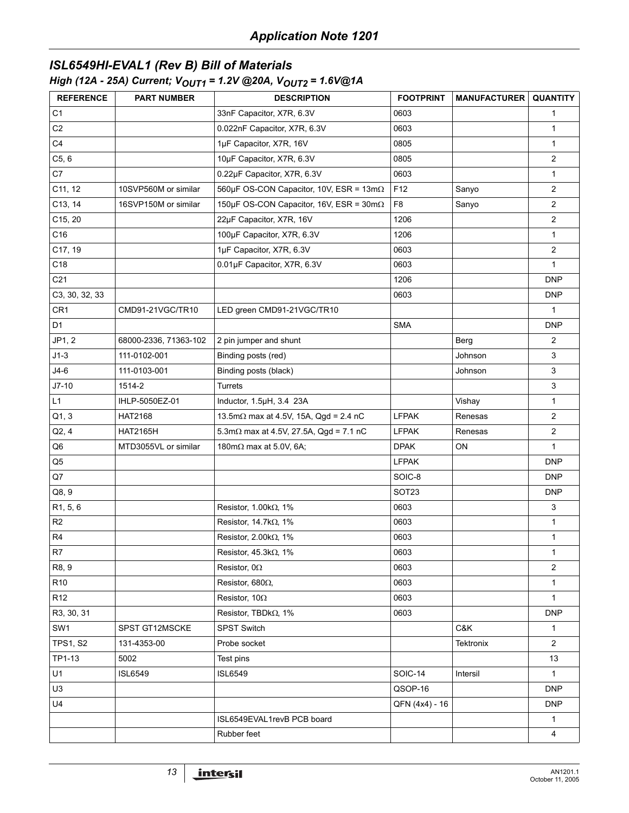# *ISL6549HI-EVAL1 (Rev B) Bill of Materials*

## *High (12A - 25A) Current; VOUT1 = 1.2V @20A, VOUT2 = 1.6V@1A*

| <b>REFERENCE</b> | <b>PART NUMBER</b>    | <b>DESCRIPTION</b>                                     | <b>FOOTPRINT</b>  | <b>MANUFACTURER</b> | <b>QUANTITY</b> |
|------------------|-----------------------|--------------------------------------------------------|-------------------|---------------------|-----------------|
| C <sub>1</sub>   |                       | 33nF Capacitor, X7R, 6.3V                              | 0603              |                     | 1               |
| C <sub>2</sub>   |                       | 0.022nF Capacitor, X7R, 6.3V                           | 0603              |                     | $\mathbf{1}$    |
| C <sub>4</sub>   |                       | 1µF Capacitor, X7R, 16V                                | 0805              |                     | $\mathbf{1}$    |
| C5, 6            |                       | 10µF Capacitor, X7R, 6.3V                              | 0805              |                     | 2               |
| C7               |                       | 0.22µF Capacitor, X7R, 6.3V                            | 0603              |                     | $\mathbf{1}$    |
| C11, 12          | 10SVP560M or similar  | 560µF OS-CON Capacitor, 10V, ESR = $13m\Omega$         | F <sub>12</sub>   | Sanyo               | $\overline{2}$  |
| C13, 14          | 16SVP150M or similar  | 150µF OS-CON Capacitor, 16V, ESR = $30 \text{m}\Omega$ | F <sub>8</sub>    | Sanyo               | $\overline{2}$  |
| C15, 20          |                       | 22µF Capacitor, X7R, 16V                               | 1206              |                     | $\overline{2}$  |
| C16              |                       | 100µF Capacitor, X7R, 6.3V                             | 1206              |                     | $\mathbf{1}$    |
| C17, 19          |                       | 1µF Capacitor, X7R, 6.3V                               | 0603              |                     | $\overline{2}$  |
| C18              |                       | 0.01µF Capacitor, X7R, 6.3V                            | 0603              |                     | $\mathbf{1}$    |
| C <sub>21</sub>  |                       |                                                        | 1206              |                     | <b>DNP</b>      |
| C3, 30, 32, 33   |                       |                                                        | 0603              |                     | <b>DNP</b>      |
| CR <sub>1</sub>  | CMD91-21VGC/TR10      | LED green CMD91-21VGC/TR10                             |                   |                     | $\mathbf{1}$    |
| D <sub>1</sub>   |                       |                                                        | <b>SMA</b>        |                     | <b>DNP</b>      |
| JP1, 2           | 68000-2336, 71363-102 | 2 pin jumper and shunt                                 |                   | Berg                | $\overline{2}$  |
| $J1-3$           | 111-0102-001          | Binding posts (red)                                    |                   | Johnson             | 3               |
| $J4-6$           | 111-0103-001          | Binding posts (black)                                  |                   | Johnson             | $\mathbf{3}$    |
| $J7-10$          | 1514-2                | Turrets                                                |                   |                     | $\mathbf{3}$    |
| L1               | IHLP-5050EZ-01        | Inductor, 1.5µH, 3.4 23A                               |                   | Vishay              | $\mathbf{1}$    |
| Q1, 3            | HAT2168               | 13.5m $\Omega$ max at 4.5V, 15A, Qgd = 2.4 nC          | <b>LFPAK</b>      | Renesas             | $\overline{2}$  |
| Q2, 4            | <b>HAT2165H</b>       | 5.3m $\Omega$ max at 4.5V, 27.5A, $Qgd = 7.1$ nC       | <b>LFPAK</b>      | Renesas             | $\overline{2}$  |
| Q6               | MTD3055VL or similar  | 180m $\Omega$ max at 5.0V, 6A;                         | <b>DPAK</b>       | ON                  | 1               |
| Q5               |                       |                                                        | <b>LFPAK</b>      |                     | <b>DNP</b>      |
| Q7               |                       |                                                        | SOIC-8            |                     | <b>DNP</b>      |
| Q8, 9            |                       |                                                        | SOT <sub>23</sub> |                     | <b>DNP</b>      |
| R1, 5, 6         |                       | Resistor, 1.00 $k\Omega$ , 1%                          | 0603              |                     | $\mathbf{3}$    |
| R <sub>2</sub>   |                       | Resistor, $14.7k\Omega$ , $1\%$                        | 0603              |                     | $\mathbf{1}$    |
| R4               |                       | Resistor, $2.00k\Omega$ , 1%                           | 0603              |                     | 1               |
| R7               |                       | Resistor, $45.3k\Omega$ , 1%                           | 0603              |                     | 1               |
| R8, 9            |                       | Resistor, $0\Omega$                                    | 0603              |                     | $\overline{2}$  |
| R <sub>10</sub>  |                       | Resistor, 680 $\Omega$ ,                               | 0603              |                     | 1               |
| R <sub>12</sub>  |                       | Resistor, 10 $\Omega$                                  | 0603              |                     | $\mathbf{1}$    |
| R3, 30, 31       |                       | Resistor, TBDk $\Omega$ , 1%                           | 0603              |                     | <b>DNP</b>      |
| SW <sub>1</sub>  | SPST GT12MSCKE        | <b>SPST Switch</b>                                     |                   | C&K                 | $\mathbf{1}$    |
| <b>TPS1, S2</b>  | 131-4353-00           | Probe socket                                           |                   | Tektronix           | $\overline{2}$  |
| TP1-13           | 5002                  | Test pins                                              |                   |                     | 13              |
| U1               | <b>ISL6549</b>        | <b>ISL6549</b>                                         | SOIC-14           | Intersil            | $\mathbf{1}$    |
| U3               |                       |                                                        | QSOP-16           |                     | <b>DNP</b>      |
| U4               |                       |                                                        | QFN (4x4) - 16    |                     | DNP             |
|                  |                       | ISL6549EVAL1revB PCB board                             |                   |                     | 1               |
|                  |                       | Rubber feet                                            |                   |                     | $\overline{4}$  |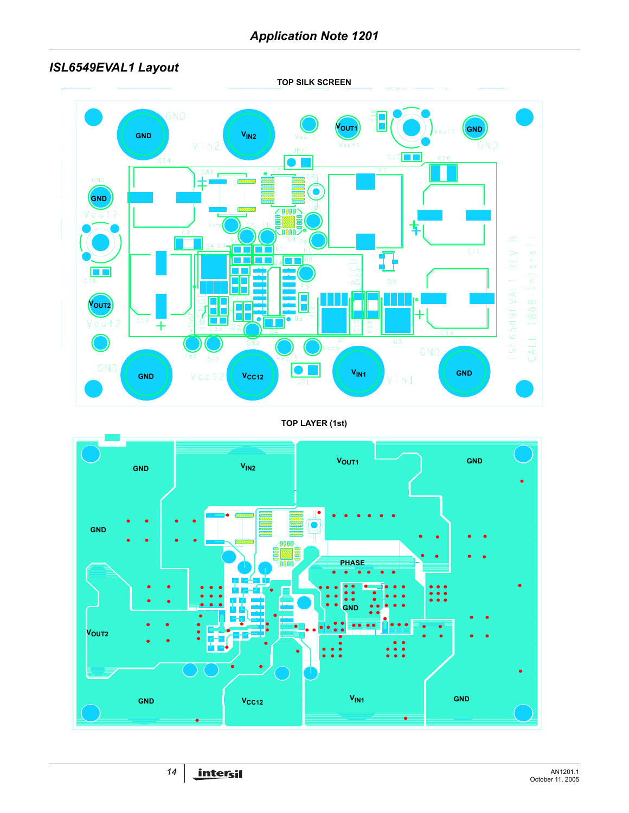# *ISL6549EVAL1 Layout*

**TOP SILK SCREEN**



### **TOP LAYER (1st)**

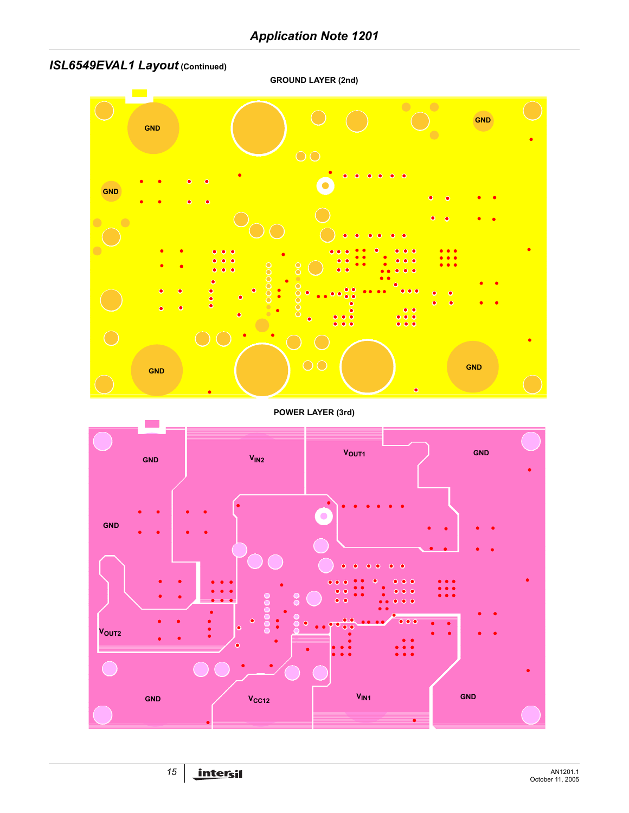# *ISL6549EVAL1 Layout* **(Continued)**

**GROUND LAYER (2nd)**



**POWER LAYER (3rd)**